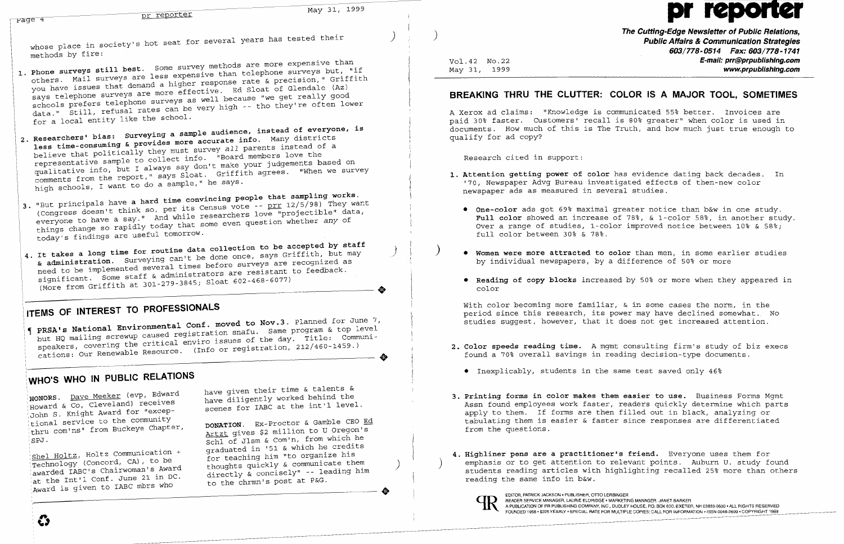| May 31, 1999<br>pr reporter                                                                                                                                                                                                                                                                                                                                                                                                        |                                                                                                                                                                                                                                              |
|------------------------------------------------------------------------------------------------------------------------------------------------------------------------------------------------------------------------------------------------------------------------------------------------------------------------------------------------------------------------------------------------------------------------------------|----------------------------------------------------------------------------------------------------------------------------------------------------------------------------------------------------------------------------------------------|
| <sub>2aqe</sub> 4                                                                                                                                                                                                                                                                                                                                                                                                                  |                                                                                                                                                                                                                                              |
| whose place in society's hot seat for several years has tested their                                                                                                                                                                                                                                                                                                                                                               | The Cutting-Edge N<br><b>Public Affairs</b><br>603/77                                                                                                                                                                                        |
| methods by fire:<br>1. Phone surveys still best. Some survey methods are more expensive than                                                                                                                                                                                                                                                                                                                                       | Vol. 42 No. 22<br>May 31, 1999                                                                                                                                                                                                               |
| others. Mail surveys are less expensive than telephone surveys but, "if<br>you have issues that demand a higher response rate & precision," Griffith<br>says telephone surveys are more effective. Ed Sloat of Glendale (Az)<br>schools prefers telephone surveys as well because "we get really good<br>data." Still, refusal rates can be very high -- tho they're often lower                                                   | BREAKING THRU THE CLUTTER: COLOR IS A MAJ                                                                                                                                                                                                    |
| for a local entity like the school.<br>2. Researchers' bias: Surveying a sample audience, instead of everyone, is<br>less time-consuming & provides more accurate info. Many districts                                                                                                                                                                                                                                             | A Xerox ad claims: "Knowledge is communicated 55% be<br>paid 30% faster. Customers' recall is 80% greater" w<br>documents. How much of this is The Truth, and how mu<br>qualify for ad copy?                                                 |
| believe that politically they must survey all parents instead of a<br>representative sample to collect info. "Board members love the                                                                                                                                                                                                                                                                                               | Research cited in support:                                                                                                                                                                                                                   |
| qualitative info, but I always say don't make your judgements based on<br>comments from the report," says Sloat. Griffith agrees. "When we survey<br>high schools, I want to do a sample," he says.                                                                                                                                                                                                                                | 1. Attention getting power of color has evidence datin<br>'70, Newspaper Advg Bureau investigated effects of<br>newspaper ads as measured in several studies.                                                                                |
| 3. "But principals have a hard time convincing people that sampling works.<br>(Congress doesn't think so, per its Census vote -- prr 12/5/98) They want<br>everyone to have a say." And while researchers love "projectible" data,<br>things change so rapidly today that some even question whether any of<br>today's findings are useful tomorrow.                                                                               | . One-color ads got 69% maximal greater notice that<br>Full color showed an increase of 78%, & 1-color<br>Over a range of studies, 1-color improved notice<br>full color between 30% & 78%.                                                  |
| 4. It takes a long time for routine data collection to be accepted by staff<br>& administration. Surveying can't be done once, says Griffith, but may<br>need to be implemented several times before surveys are recognized as<br>significant. Some staff & administrators are resistant to feedback.                                                                                                                              | . Women were more attracted to color than men, in<br>by individual newspapers, by a difference of 50%                                                                                                                                        |
| (More from Griffith at 301-279-3845; Sloat 602-468-6077)                                                                                                                                                                                                                                                                                                                                                                           | . Reading of copy blocks increased by 50% or more<br>color                                                                                                                                                                                   |
| ITEMS OF INTEREST TO PROFESSIONALS<br>PRSA's National Environmental Conf. moved to Nov.3. Planned for June 7,<br>but HQ mailing screwup caused registration snafu. Same program & top level                                                                                                                                                                                                                                        | With color becoming more familiar, & in some cases<br>period since this research, its power may have dec.<br>studies suggest, however, that it does not get inc:                                                                             |
| speakers, covering the critical enviro issues of the day. Title: Communi-<br>cations: Our Renewable Resource. (Info or registration, 212/460-1459.)                                                                                                                                                                                                                                                                                | 2. Color speeds reading time. A mqmt consulting firm<br>found a 70% overall savings in reading decision-typ                                                                                                                                  |
| WHO'S WHO IN PUBLIC RELATIONS                                                                                                                                                                                                                                                                                                                                                                                                      | • Inexplicably, students in the same test saved or                                                                                                                                                                                           |
| have given their time & talents &<br>HONORS. Dave Meeker (evp, Edward<br>have diligently worked behind the<br>Howard & Co, Cleveland) receives<br>scenes for IABC at the int'l level.<br>John S. Knight Award for "excep-<br>tional service to the community<br>DONATION. Ex-Proctor & Gamble CEO Ed<br>thru com'ns" from Buckeye Chapter,<br>Artzt gives \$2 million to U Oregon's<br>Schl of Jlsm & Com'n, from which he<br>SPJ. | 3. Printing forms in color makes them easier to use.<br>Assn found employees work faster, readers quickly<br>apply to them. If forms are then filled out in bla<br>tabulating them is easier & faster since responses<br>from the questions. |
| graduated in '51 & which he credits<br>Shel Holtz, Holtz Communication +<br>for teaching him "to organize his<br>Technology (Concord, CA), to be<br>thoughts quickly & communicate them<br>awarded IABC's Chairwoman's Award<br>directly & concisely" -- leading him<br>at the Int'l Conf. June 21 in DC.<br>to the chrmn's post at P&G.<br>Award is given to IABC mbrs who                                                        | 4. Highliner pens are a practitioner's friend. Every<br>emphasis or to get attention to relevant points.<br>students reading articles with highlighting recall<br>reading the same info in b&w.                                              |
| ۞                                                                                                                                                                                                                                                                                                                                                                                                                                  | EDITOR, PATRICK JACKSON . PUBLISHER, OTTO LERBINGER<br>READER SERVICE MANAGER, LAURIE ELDRIDGE • MARKETING MANAGER, JANET BARKER<br>A PUBLICATION OF PR PUBLISHING COMPANY, INC., DUDLEY HOUSE, P.O. BOX 600, EXETEP                         |

**Cutting-Edge Newsletter of Public Relations, Public Affairs & Communication Strategies 603/778-0514 Fax: 603/778-1741 E-mail: prr@prpublishlng.com www.prpubllshlng.com** 

## **BR IS A MAJOR TOOL, SOMETIMES**

icated 55% better. Invoices are 0% greater" when color is used in h, and how much just true enough to

evidence dating back decades. In ed effects of then-new color studies.

ter notice than b&w in one study. **Full color** showed an increase of 78%, & I-color 58%, in another study. mproved notice between 10% & 58%;

than men, in some earlier studies ference of 50% or more

**2. Color speeds reading time.** A mgmt consulting firm's study of biz execs g decision-type documents.

test saved only 46%

sier to use. Business Forms Mgmt ders quickly determine which parts led out in black, analyzing or nce responses are differentiated

riend. Everyone uses them for ant points. Auburn U. study found ghting recalled 25% more than others

**• Reading of copy blocks** increased by 50% or more when they appeared in

in some cases the norm, in the may have declined somewhat. No s not get increased attention.